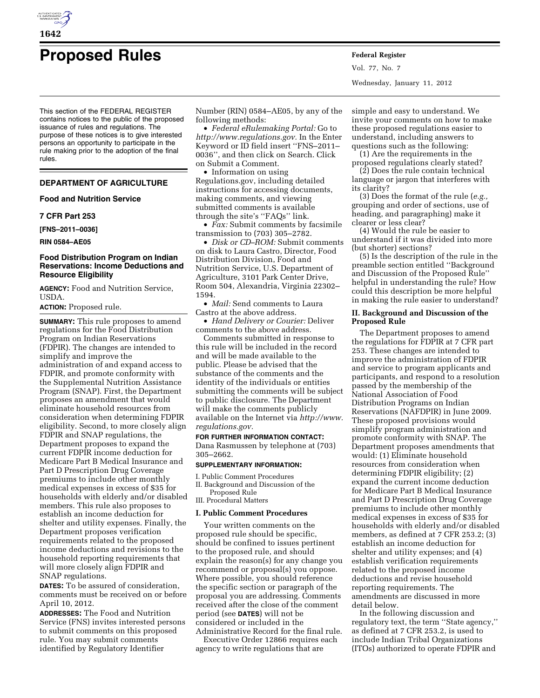

# **Proposed Rules Federal Register**

This section of the FEDERAL REGISTER contains notices to the public of the proposed issuance of rules and regulations. The purpose of these notices is to give interested persons an opportunity to participate in the rule making prior to the adoption of the final rules.

# **DEPARTMENT OF AGRICULTURE**

**Food and Nutrition Service** 

#### **7 CFR Part 253**

**[FNS–2011–0036]** 

**RIN 0584–AE05** 

#### **Food Distribution Program on Indian Reservations: Income Deductions and Resource Eligibility**

**AGENCY:** Food and Nutrition Service, USDA.

**ACTION:** Proposed rule.

**SUMMARY:** This rule proposes to amend regulations for the Food Distribution Program on Indian Reservations (FDPIR). The changes are intended to simplify and improve the administration of and expand access to FDPIR, and promote conformity with the Supplemental Nutrition Assistance Program (SNAP). First, the Department proposes an amendment that would eliminate household resources from consideration when determining FDPIR eligibility. Second, to more closely align FDPIR and SNAP regulations, the Department proposes to expand the current FDPIR income deduction for Medicare Part B Medical Insurance and Part D Prescription Drug Coverage premiums to include other monthly medical expenses in excess of \$35 for households with elderly and/or disabled members. This rule also proposes to establish an income deduction for shelter and utility expenses. Finally, the Department proposes verification requirements related to the proposed income deductions and revisions to the household reporting requirements that will more closely align FDPIR and SNAP regulations.

**DATES:** To be assured of consideration, comments must be received on or before April 10, 2012.

**ADDRESSES:** The Food and Nutrition Service (FNS) invites interested persons to submit comments on this proposed rule. You may submit comments identified by Regulatory Identifier

Number (RIN) 0584–AE05, by any of the following methods:

• *Federal eRulemaking Portal:* Go to *[http://www.regulations.gov.](http://www.regulations.gov)* In the Enter Keyword or ID field insert ''FNS–2011– 0036'', and then click on Search. Click on Submit a Comment.

• Information on using Regulations.gov, including detailed instructions for accessing documents, making comments, and viewing submitted comments is available through the site's ''FAQs'' link.

• *Fax:* Submit comments by facsimile transmission to (703) 305–2782.

• *Disk or CD–ROM:* Submit comments on disk to Laura Castro, Director, Food Distribution Division, Food and Nutrition Service, U.S. Department of Agriculture, 3101 Park Center Drive, Room 504, Alexandria, Virginia 22302– 1594.

• *Mail:* Send comments to Laura Castro at the above address.

• *Hand Delivery or Courier:* Deliver comments to the above address.

Comments submitted in response to this rule will be included in the record and will be made available to the public. Please be advised that the substance of the comments and the identity of the individuals or entities submitting the comments will be subject to public disclosure. The Department will make the comments publicly available on the Internet via *[http://www.](http://www.regulations.gov) [regulations.gov.](http://www.regulations.gov)* 

**FOR FURTHER INFORMATION CONTACT:**  Dana Rasmussen by telephone at (703) 305–2662.

#### **SUPPLEMENTARY INFORMATION:**

I. Public Comment Procedures II. Background and Discussion of the Proposed Rule

III. Procedural Matters

#### **I. Public Comment Procedures**

Your written comments on the proposed rule should be specific, should be confined to issues pertinent to the proposed rule, and should explain the reason(s) for any change you recommend or proposal(s) you oppose. Where possible, you should reference the specific section or paragraph of the proposal you are addressing. Comments received after the close of the comment period (see **DATES**) will not be considered or included in the Administrative Record for the final rule.

Executive Order 12866 requires each agency to write regulations that are

Vol. 77, No. 7 Wednesday, January 11, 2012

simple and easy to understand. We invite your comments on how to make these proposed regulations easier to understand, including answers to questions such as the following:

(1) Are the requirements in the proposed regulations clearly stated?

(2) Does the rule contain technical language or jargon that interferes with its clarity?

(3) Does the format of the rule (*e.g.,*  grouping and order of sections, use of heading, and paragraphing) make it clearer or less clear?

(4) Would the rule be easier to understand if it was divided into more (but shorter) sections?

(5) Is the description of the rule in the preamble section entitled ''Background and Discussion of the Proposed Rule'' helpful in understanding the rule? How could this description be more helpful in making the rule easier to understand?

# **II. Background and Discussion of the Proposed Rule**

The Department proposes to amend the regulations for FDPIR at 7 CFR part 253. These changes are intended to improve the administration of FDPIR and service to program applicants and participants, and respond to a resolution passed by the membership of the National Association of Food Distribution Programs on Indian Reservations (NAFDPIR) in June 2009. These proposed provisions would simplify program administration and promote conformity with SNAP. The Department proposes amendments that would: (1) Eliminate household resources from consideration when determining FDPIR eligibility; (2) expand the current income deduction for Medicare Part B Medical Insurance and Part D Prescription Drug Coverage premiums to include other monthly medical expenses in excess of \$35 for households with elderly and/or disabled members, as defined at 7 CFR 253.2; (3) establish an income deduction for shelter and utility expenses; and (4) establish verification requirements related to the proposed income deductions and revise household reporting requirements. The amendments are discussed in more detail below.

In the following discussion and regulatory text, the term ''State agency,'' as defined at 7 CFR 253.2, is used to include Indian Tribal Organizations (ITOs) authorized to operate FDPIR and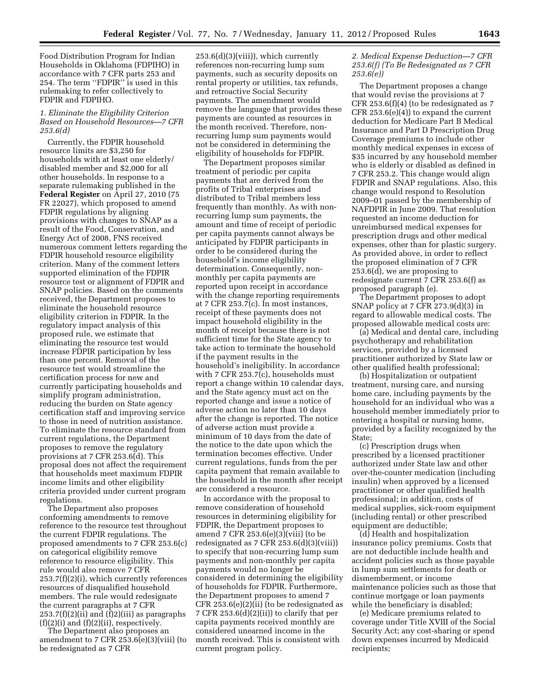Food Distribution Program for Indian Households in Oklahoma (FDPIHO) in accordance with 7 CFR parts 253 and 254. The term ''FDPIR'' is used in this rulemaking to refer collectively to FDPIR and FDPIHO.

# *1. Eliminate the Eligibility Criterion Based on Household Resources—7 CFR 253.6(d)*

Currently, the FDPIR household resource limits are \$3,250 for households with at least one elderly/ disabled member and \$2,000 for all other households. In response to a separate rulemaking published in the **Federal Register** on April 27, 2010 (75 FR 22027), which proposed to amend FDPIR regulations by aligning provisions with changes to SNAP as a result of the Food, Conservation, and Energy Act of 2008, FNS received numerous comment letters regarding the FDPIR household resource eligibility criterion. Many of the comment letters supported elimination of the FDPIR resource test or alignment of FDPIR and SNAP policies. Based on the comments received, the Department proposes to eliminate the household resource eligibility criterion in FDPIR. In the regulatory impact analysis of this proposed rule, we estimate that eliminating the resource test would increase FDPIR participation by less than one percent. Removal of the resource test would streamline the certification process for new and currently participating households and simplify program administration, reducing the burden on State agency certification staff and improving service to those in need of nutrition assistance. To eliminate the resource standard from current regulations, the Department proposes to remove the regulatory provisions at 7 CFR 253.6(d). This proposal does not affect the requirement that households meet maximum FDPIR income limits and other eligibility criteria provided under current program regulations.

The Department also proposes conforming amendments to remove reference to the resource test throughout the current FDPIR regulations. The proposed amendments to 7 CFR 253.6(c) on categorical eligibility remove reference to resource eligibility. This rule would also remove 7 CFR 253.7(f)(2)(i), which currently references resources of disqualified household members. The rule would redesignate the current paragraphs at 7 CFR  $253.7(f)(2)(ii)$  and  $(\overline{f})2)(iii)$  as paragraphs  $(f)(2)(i)$  and  $(f)(2)(ii)$ , respectively.

The Department also proposes an amendment to 7 CFR 253.6(e)(3)(viii) (to be redesignated as 7 CFR

 $253.6(d)(3)(viii)$ , which currently references non-recurring lump sum payments, such as security deposits on rental property or utilities, tax refunds, and retroactive Social Security payments. The amendment would remove the language that provides these payments are counted as resources in the month received. Therefore, nonrecurring lump sum payments would not be considered in determining the eligibility of households for FDPIR.

The Department proposes similar treatment of periodic per capita payments that are derived from the profits of Tribal enterprises and distributed to Tribal members less frequently than monthly. As with nonrecurring lump sum payments, the amount and time of receipt of periodic per capita payments cannot always be anticipated by FDPIR participants in order to be considered during the household's income eligibility determination. Consequently, nonmonthly per capita payments are reported upon receipt in accordance with the change reporting requirements at 7 CFR 253.7(c). In most instances, receipt of these payments does not impact household eligibility in the month of receipt because there is not sufficient time for the State agency to take action to terminate the household if the payment results in the household's ineligibility. In accordance with 7 CFR 253.7(c), households must report a change within 10 calendar days, and the State agency must act on the reported change and issue a notice of adverse action no later than 10 days after the change is reported. The notice of adverse action must provide a minimum of 10 days from the date of the notice to the date upon which the termination becomes effective. Under current regulations, funds from the per capita payment that remain available to the household in the month after receipt are considered a resource.

In accordance with the proposal to remove consideration of household resources in determining eligibility for FDPIR, the Department proposes to amend 7 CFR 253.6(e)(3)(viii) (to be redesignated as 7 CFR 253.6(d)(3)(viii)) to specify that non-recurring lump sum payments and non-monthly per capita payments would no longer be considered in determining the eligibility of households for FDPIR. Furthermore, the Department proposes to amend 7 CFR 253.6(e)(2)(ii) (to be redesignated as 7 CFR 253.6(d)(2)(ii)) to clarify that per capita payments received monthly are considered unearned income in the month received. This is consistent with current program policy.

# *2. Medical Expense Deduction—7 CFR 253.6(f) (To Be Redesignated as 7 CFR 253.6(e))*

The Department proposes a change that would revise the provisions at 7 CFR 253.6(f)(4) (to be redesignated as 7 CFR 253.6(e)(4)) to expand the current deduction for Medicare Part B Medical Insurance and Part D Prescription Drug Coverage premiums to include other monthly medical expenses in excess of \$35 incurred by any household member who is elderly or disabled as defined in 7 CFR 253.2. This change would align FDPIR and SNAP regulations. Also, this change would respond to Resolution 2009–01 passed by the membership of NAFDPIR in June 2009. That resolution requested an income deduction for unreimbursed medical expenses for prescription drugs and other medical expenses, other than for plastic surgery. As provided above, in order to reflect the proposed elimination of 7 CFR 253.6(d), we are proposing to redesignate current 7 CFR 253.6(f) as proposed paragraph (e).

The Department proposes to adopt SNAP policy at 7 CFR 273.9(d)(3) in regard to allowable medical costs. The proposed allowable medical costs are:

(a) Medical and dental care, including psychotherapy and rehabilitation services, provided by a licensed practitioner authorized by State law or other qualified health professional;

(b) Hospitalization or outpatient treatment, nursing care, and nursing home care, including payments by the household for an individual who was a household member immediately prior to entering a hospital or nursing home, provided by a facility recognized by the State;

(c) Prescription drugs when prescribed by a licensed practitioner authorized under State law and other over-the-counter medication (including insulin) when approved by a licensed practitioner or other qualified health professional; in addition, costs of medical supplies, sick-room equipment (including rental) or other prescribed equipment are deductible;

(d) Health and hospitalization insurance policy premiums. Costs that are not deductible include health and accident policies such as those payable in lump sum settlements for death or dismemberment, or income maintenance policies such as those that continue mortgage or loan payments while the beneficiary is disabled;

(e) Medicare premiums related to coverage under Title XVIII of the Social Security Act; any cost-sharing or spend down expenses incurred by Medicaid recipients;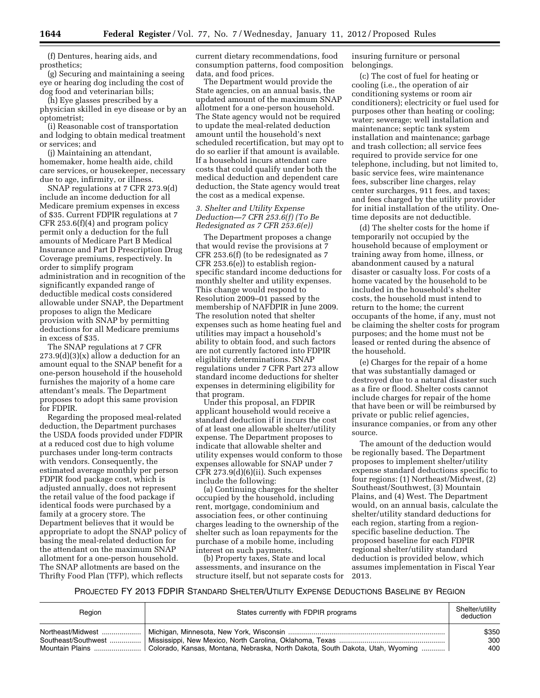(f) Dentures, hearing aids, and prosthetics;

(g) Securing and maintaining a seeing eye or hearing dog including the cost of dog food and veterinarian bills;

(h) Eye glasses prescribed by a physician skilled in eye disease or by an optometrist;

(i) Reasonable cost of transportation and lodging to obtain medical treatment or services; and

(j) Maintaining an attendant, homemaker, home health aide, child care services, or housekeeper, necessary due to age, infirmity, or illness.

SNAP regulations at 7 CFR 273.9(d) include an income deduction for all Medicare premium expenses in excess of \$35. Current FDPIR regulations at 7 CFR 253.6(f)(4) and program policy permit only a deduction for the full amounts of Medicare Part B Medical Insurance and Part D Prescription Drug Coverage premiums, respectively. In order to simplify program administration and in recognition of the significantly expanded range of deductible medical costs considered allowable under SNAP, the Department proposes to align the Medicare provision with SNAP by permitting deductions for all Medicare premiums in excess of \$35.

The SNAP regulations at 7 CFR  $273.9(d)(3)(x)$  allow a deduction for an amount equal to the SNAP benefit for a one-person household if the household furnishes the majority of a home care attendant's meals. The Department proposes to adopt this same provision for FDPIR.

Regarding the proposed meal-related deduction, the Department purchases the USDA foods provided under FDPIR at a reduced cost due to high volume purchases under long-term contracts with vendors. Consequently, the estimated average monthly per person FDPIR food package cost, which is adjusted annually, does not represent the retail value of the food package if identical foods were purchased by a family at a grocery store. The Department believes that it would be appropriate to adopt the SNAP policy of basing the meal-related deduction for the attendant on the maximum SNAP allotment for a one-person household. The SNAP allotments are based on the Thrifty Food Plan (TFP), which reflects

current dietary recommendations, food consumption patterns, food composition data, and food prices.

The Department would provide the State agencies, on an annual basis, the updated amount of the maximum SNAP allotment for a one-person household. The State agency would not be required to update the meal-related deduction amount until the household's next scheduled recertification, but may opt to do so earlier if that amount is available. If a household incurs attendant care costs that could qualify under both the medical deduction and dependent care deduction, the State agency would treat the cost as a medical expense.

# *3. Shelter and Utility Expense Deduction—7 CFR 253.6(f) (To Be Redesignated as 7 CFR 253.6(e))*

The Department proposes a change that would revise the provisions at 7 CFR 253.6(f) (to be redesignated as 7 CFR 253.6(e)) to establish regionspecific standard income deductions for monthly shelter and utility expenses. This change would respond to Resolution 2009–01 passed by the membership of NAFDPIR in June 2009. The resolution noted that shelter expenses such as home heating fuel and utilities may impact a household's ability to obtain food, and such factors are not currently factored into FDPIR eligibility determinations. SNAP regulations under 7 CFR Part 273 allow standard income deductions for shelter expenses in determining eligibility for that program.

Under this proposal, an FDPIR applicant household would receive a standard deduction if it incurs the cost of at least one allowable shelter/utility expense. The Department proposes to indicate that allowable shelter and utility expenses would conform to those expenses allowable for SNAP under 7 CFR 273.9(d)(6)(ii). Such expenses include the following:

(a) Continuing charges for the shelter occupied by the household, including rent, mortgage, condominium and association fees, or other continuing charges leading to the ownership of the shelter such as loan repayments for the purchase of a mobile home, including interest on such payments.

(b) Property taxes, State and local assessments, and insurance on the structure itself, but not separate costs for

insuring furniture or personal belongings.

(c) The cost of fuel for heating or cooling (i.e., the operation of air conditioning systems or room air conditioners); electricity or fuel used for purposes other than heating or cooling; water; sewerage; well installation and maintenance; septic tank system installation and maintenance; garbage and trash collection; all service fees required to provide service for one telephone, including, but not limited to, basic service fees, wire maintenance fees, subscriber line charges, relay center surcharges, 911 fees, and taxes; and fees charged by the utility provider for initial installation of the utility. Onetime deposits are not deductible.

(d) The shelter costs for the home if temporarily not occupied by the household because of employment or training away from home, illness, or abandonment caused by a natural disaster or casualty loss. For costs of a home vacated by the household to be included in the household's shelter costs, the household must intend to return to the home; the current occupants of the home, if any, must not be claiming the shelter costs for program purposes; and the home must not be leased or rented during the absence of the household.

(e) Charges for the repair of a home that was substantially damaged or destroyed due to a natural disaster such as a fire or flood. Shelter costs cannot include charges for repair of the home that have been or will be reimbursed by private or public relief agencies, insurance companies, or from any other source.

The amount of the deduction would be regionally based. The Department proposes to implement shelter/utility expense standard deductions specific to four regions: (1) Northeast/Midwest, (2) Southeast/Southwest, (3) Mountain Plains, and (4) West. The Department would, on an annual basis, calculate the shelter/utility standard deductions for each region, starting from a regionspecific baseline deduction. The proposed baseline for each FDPIR regional shelter/utility standard deduction is provided below, which assumes implementation in Fiscal Year 2013.

# PROJECTED FY 2013 FDPIR STANDARD SHELTER/UTILITY EXPENSE DEDUCTIONS BASELINE BY REGION

| Region                                   | States currently with FDPIR programs                                                              | Shelter/utility<br>deduction |
|------------------------------------------|---------------------------------------------------------------------------------------------------|------------------------------|
| Northeast/Midwest<br>Southeast/Southwest | Mountain Plains    Colorado, Kansas, Montana, Nebraska, North Dakota, South Dakota, Utah, Wyoming | \$350<br>300<br>400          |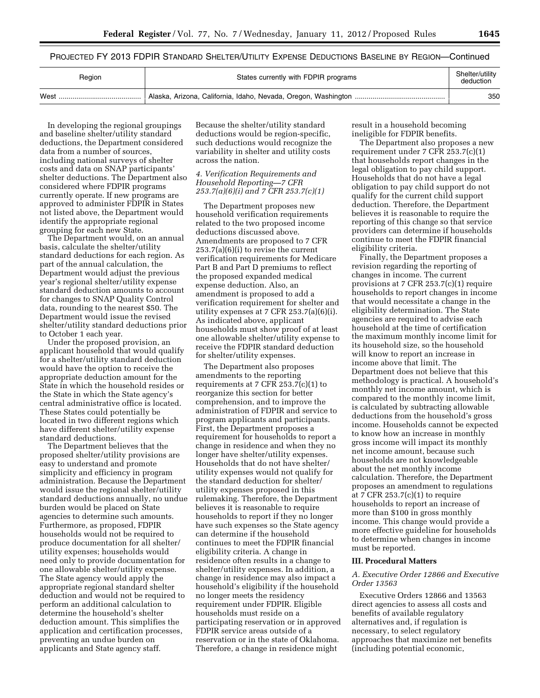PROJECTED FY 2013 FDPIR STANDARD SHELTER/UTILITY EXPENSE DEDUCTIONS BASELINE BY REGION—Continued

| Region | States currently with FDPIR programs | Shelter/utility<br>deduction |
|--------|--------------------------------------|------------------------------|
| West   |                                      | 350                          |

In developing the regional groupings and baseline shelter/utility standard deductions, the Department considered data from a number of sources, including national surveys of shelter costs and data on SNAP participants' shelter deductions. The Department also considered where FDPIR programs currently operate. If new programs are approved to administer FDPIR in States not listed above, the Department would identify the appropriate regional grouping for each new State.

The Department would, on an annual basis, calculate the shelter/utility standard deductions for each region. As part of the annual calculation, the Department would adjust the previous year's regional shelter/utility expense standard deduction amounts to account for changes to SNAP Quality Control data, rounding to the nearest \$50. The Department would issue the revised shelter/utility standard deductions prior to October 1 each year.

Under the proposed provision, an applicant household that would qualify for a shelter/utility standard deduction would have the option to receive the appropriate deduction amount for the State in which the household resides or the State in which the State agency's central administrative office is located. These States could potentially be located in two different regions which have different shelter/utility expense standard deductions.

The Department believes that the proposed shelter/utility provisions are easy to understand and promote simplicity and efficiency in program administration. Because the Department would issue the regional shelter/utility standard deductions annually, no undue burden would be placed on State agencies to determine such amounts. Furthermore, as proposed, FDPIR households would not be required to produce documentation for all shelter/ utility expenses; households would need only to provide documentation for one allowable shelter/utility expense. The State agency would apply the appropriate regional standard shelter deduction and would not be required to perform an additional calculation to determine the household's shelter deduction amount. This simplifies the application and certification processes, preventing an undue burden on applicants and State agency staff.

Because the shelter/utility standard deductions would be region-specific, such deductions would recognize the variability in shelter and utility costs across the nation.

# *4. Verification Requirements and Household Reporting—7 CFR 253.7(a)(6)(i) and 7 CFR 253.7(c)(1)*

The Department proposes new household verification requirements related to the two proposed income deductions discussed above. Amendments are proposed to 7 CFR 253.7(a)(6)(i) to revise the current verification requirements for Medicare Part B and Part D premiums to reflect the proposed expanded medical expense deduction. Also, an amendment is proposed to add a verification requirement for shelter and utility expenses at 7 CFR 253.7(a)(6)(i). As indicated above, applicant households must show proof of at least one allowable shelter/utility expense to receive the FDPIR standard deduction for shelter/utility expenses.

The Department also proposes amendments to the reporting requirements at 7 CFR  $253.7(c)(1)$  to reorganize this section for better comprehension, and to improve the administration of FDPIR and service to program applicants and participants. First, the Department proposes a requirement for households to report a change in residence and when they no longer have shelter/utility expenses. Households that do not have shelter/ utility expenses would not qualify for the standard deduction for shelter/ utility expenses proposed in this rulemaking. Therefore, the Department believes it is reasonable to require households to report if they no longer have such expenses so the State agency can determine if the household continues to meet the FDPIR financial eligibility criteria. A change in residence often results in a change to shelter/utility expenses. In addition, a change in residence may also impact a household's eligibility if the household no longer meets the residency requirement under FDPIR. Eligible households must reside on a participating reservation or in approved FDPIR service areas outside of a reservation or in the state of Oklahoma. Therefore, a change in residence might

result in a household becoming ineligible for FDPIR benefits.

The Department also proposes a new requirement under 7 CFR 253.7(c)(1) that households report changes in the legal obligation to pay child support. Households that do not have a legal obligation to pay child support do not qualify for the current child support deduction. Therefore, the Department believes it is reasonable to require the reporting of this change so that service providers can determine if households continue to meet the FDPIR financial eligibility criteria.

Finally, the Department proposes a revision regarding the reporting of changes in income. The current provisions at 7 CFR 253.7(c)(1) require households to report changes in income that would necessitate a change in the eligibility determination. The State agencies are required to advise each household at the time of certification the maximum monthly income limit for its household size, so the household will know to report an increase in income above that limit. The Department does not believe that this methodology is practical. A household's monthly net income amount, which is compared to the monthly income limit, is calculated by subtracting allowable deductions from the household's gross income. Households cannot be expected to know how an increase in monthly gross income will impact its monthly net income amount, because such households are not knowledgeable about the net monthly income calculation. Therefore, the Department proposes an amendment to regulations at 7 CFR  $253.7(c)(1)$  to require households to report an increase of more than \$100 in gross monthly income. This change would provide a more effective guideline for households to determine when changes in income must be reported.

#### **III. Procedural Matters**

### *A. Executive Order 12866 and Executive Order 13563*

Executive Orders 12866 and 13563 direct agencies to assess all costs and benefits of available regulatory alternatives and, if regulation is necessary, to select regulatory approaches that maximize net benefits (including potential economic,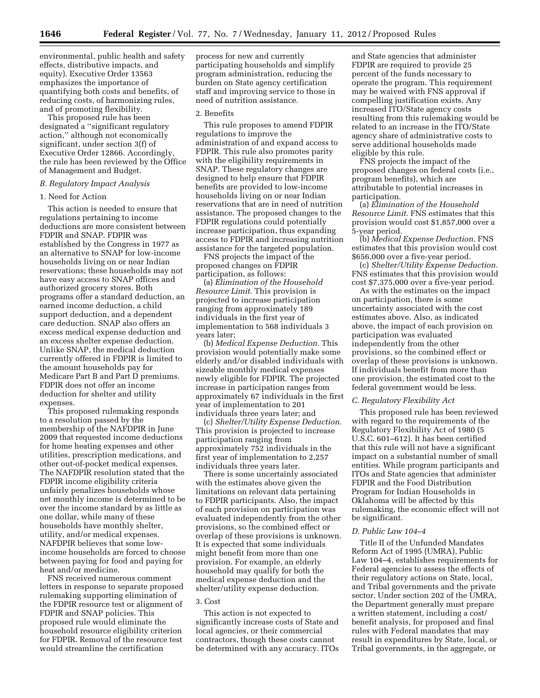environmental, public health and safety effects, distributive impacts, and equity). Executive Order 13563 emphasizes the importance of quantifying both costs and benefits, of reducing costs, of harmonizing rules, and of promoting flexibility.

This proposed rule has been designated a ''significant regulatory action,'' although not economically significant, under section 3(f) of Executive Order 12866. Accordingly, the rule has been reviewed by the Office of Management and Budget.

# *B. Regulatory Impact Analysis*

### 1. Need for Action

This action is needed to ensure that regulations pertaining to income deductions are more consistent between FDPIR and SNAP. FDPIR was established by the Congress in 1977 as an alternative to SNAP for low-income households living on or near Indian reservations; these households may not have easy access to SNAP offices and authorized grocery stores. Both programs offer a standard deduction, an earned income deduction, a child support deduction, and a dependent care deduction. SNAP also offers an excess medical expense deduction and an excess shelter expense deduction. Unlike SNAP, the medical deduction currently offered in FDPIR is limited to the amount households pay for Medicare Part B and Part D premiums. FDPIR does not offer an income deduction for shelter and utility expenses.

This proposed rulemaking responds to a resolution passed by the membership of the NAFDPIR in June 2009 that requested income deductions for home heating expenses and other utilities, prescription medications, and other out-of-pocket medical expenses. The NAFDPIR resolution stated that the FDPIR income eligibility criteria unfairly penalizes households whose net monthly income is determined to be over the income standard by as little as one dollar, while many of these households have monthly shelter, utility, and/or medical expenses. NAFDPIR believes that some lowincome households are forced to choose between paying for food and paying for heat and/or medicine.

FNS received numerous comment letters in response to separate proposed rulemaking supporting elimination of the FDPIR resource test or alignment of FDPIR and SNAP policies. This proposed rule would eliminate the household resource eligibility criterion for FDPIR. Removal of the resource test would streamline the certification

process for new and currently participating households and simplify program administration, reducing the burden on State agency certification staff and improving service to those in need of nutrition assistance.

#### 2. Benefits

This rule proposes to amend FDPIR regulations to improve the administration of and expand access to FDPIR. This rule also promotes parity with the eligibility requirements in SNAP. These regulatory changes are designed to help ensure that FDPIR benefits are provided to low-income households living on or near Indian reservations that are in need of nutrition assistance. The proposed changes to the FDPIR regulations could potentially increase participation, thus expanding access to FDPIR and increasing nutrition assistance for the targeted population.

FNS projects the impact of the proposed changes on FDPIR participation, as follows:

(a) *Elimination of the Household Resource Limit.* This provision is projected to increase participation ranging from approximately 189 individuals in the first year of implementation to 568 individuals 3 years later;

(b) *Medical Expense Deduction.* This provision would potentially make some elderly and/or disabled individuals with sizeable monthly medical expenses newly eligible for FDPIR. The projected increase in participation ranges from approximately 67 individuals in the first year of implementation to 201 individuals three years later; and

(c) *Shelter/Utility Expense Deduction.*  This provision is projected to increase participation ranging from approximately 752 individuals in the first year of implementation to 2,257 individuals three years later.

There is some uncertainly associated with the estimates above given the limitations on relevant data pertaining to FDPIR participants. Also, the impact of each provision on participation was evaluated independently from the other provisions, so the combined effect or overlap of these provisions is unknown. It is expected that some individuals might benefit from more than one provision. For example, an elderly household may qualify for both the medical expense deduction and the shelter/utility expense deduction.

# 3. Cost

This action is not expected to significantly increase costs of State and local agencies, or their commercial contractors, though these costs cannot be determined with any accuracy. ITOs

and State agencies that administer FDPIR are required to provide 25 percent of the funds necessary to operate the program. This requirement may be waived with FNS approval if compelling justification exists. Any increased ITO/State agency costs resulting from this rulemaking would be related to an increase in the ITO/State agency share of administrative costs to serve additional households made eligible by this rule.

FNS projects the impact of the proposed changes on federal costs (i.e., program benefits), which are attributable to potential increases in participation.

(a) *Elimination of the Household Resource Limit.* FNS estimates that this provision would cost \$1,857,000 over a 5-year period.

(b) *Medical Expense Deduction.* FNS estimates that this provision would cost \$656,000 over a five-year period.

(c) *Shelter/Utility Expense Deduction.*  FNS estimates that this provision would cost \$7,375,000 over a five-year period.

As with the estimates on the impact on participation, there is some uncertainty associated with the cost estimates above. Also, as indicated above, the impact of each provision on participation was evaluated independently from the other provisions, so the combined effect or overlap of these provisions is unknown. If individuals benefit from more than one provision, the estimated cost to the federal government would be less.

#### *C. Regulatory Flexibility Act*

This proposed rule has been reviewed with regard to the requirements of the Regulatory Flexibility Act of 1980 (5 U.S.C. 601–612). It has been certified that this rule will not have a significant impact on a substantial number of small entities. While program participants and ITOs and State agencies that administer FDPIR and the Food Distribution Program for Indian Households in Oklahoma will be affected by this rulemaking, the economic effect will not be significant.

#### *D. Public Law 104–4*

Title II of the Unfunded Mandates Reform Act of 1995 (UMRA), Public Law 104–4, establishes requirements for Federal agencies to assess the effects of their regulatory actions on State, local, and Tribal governments and the private sector. Under section 202 of the UMRA, the Department generally must prepare a written statement, including a cost/ benefit analysis, for proposed and final rules with Federal mandates that may result in expenditures by State, local, or Tribal governments, in the aggregate, or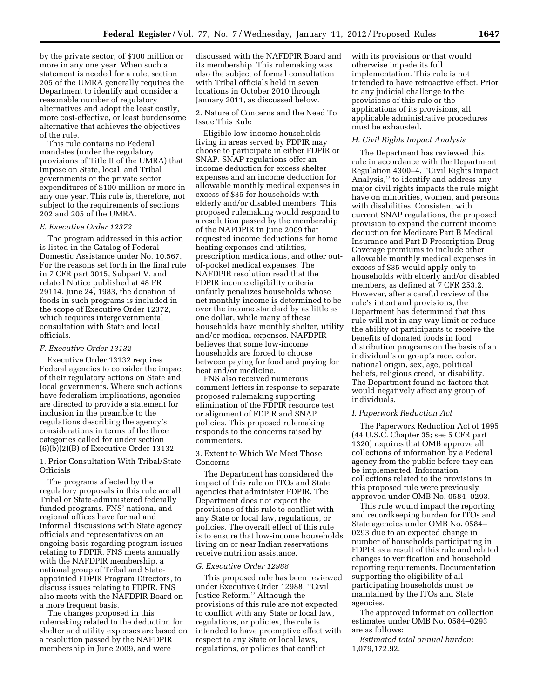by the private sector, of \$100 million or more in any one year. When such a statement is needed for a rule, section 205 of the UMRA generally requires the Department to identify and consider a reasonable number of regulatory alternatives and adopt the least costly, more cost-effective, or least burdensome alternative that achieves the objectives of the rule.

This rule contains no Federal mandates (under the regulatory provisions of Title II of the UMRA) that impose on State, local, and Tribal governments or the private sector expenditures of \$100 million or more in any one year. This rule is, therefore, not subject to the requirements of sections 202 and 205 of the UMRA.

#### *E. Executive Order 12372*

The program addressed in this action is listed in the Catalog of Federal Domestic Assistance under No. 10.567. For the reasons set forth in the final rule in 7 CFR part 3015, Subpart V, and related Notice published at 48 FR 29114, June 24, 1983, the donation of foods in such programs is included in the scope of Executive Order 12372, which requires intergovernmental consultation with State and local officials.

#### *F. Executive Order 13132*

Executive Order 13132 requires Federal agencies to consider the impact of their regulatory actions on State and local governments. Where such actions have federalism implications, agencies are directed to provide a statement for inclusion in the preamble to the regulations describing the agency's considerations in terms of the three categories called for under section (6)(b)(2)(B) of Executive Order 13132.

# 1. Prior Consultation With Tribal/State **Officials**

The programs affected by the regulatory proposals in this rule are all Tribal or State-administered federally funded programs. FNS' national and regional offices have formal and informal discussions with State agency officials and representatives on an ongoing basis regarding program issues relating to FDPIR. FNS meets annually with the NAFDPIR membership, a national group of Tribal and Stateappointed FDPIR Program Directors, to discuss issues relating to FDPIR. FNS also meets with the NAFDPIR Board on a more frequent basis.

The changes proposed in this rulemaking related to the deduction for shelter and utility expenses are based on a resolution passed by the NAFDPIR membership in June 2009, and were

discussed with the NAFDPIR Board and its membership. This rulemaking was also the subject of formal consultation with Tribal officials held in seven locations in October 2010 through January 2011, as discussed below.

2. Nature of Concerns and the Need To Issue This Rule

Eligible low-income households living in areas served by FDPIR may choose to participate in either FDPIR or SNAP. SNAP regulations offer an income deduction for excess shelter expenses and an income deduction for allowable monthly medical expenses in excess of \$35 for households with elderly and/or disabled members. This proposed rulemaking would respond to a resolution passed by the membership of the NAFDPIR in June 2009 that requested income deductions for home heating expenses and utilities, prescription medications, and other outof-pocket medical expenses. The NAFDPIR resolution read that the FDPIR income eligibility criteria unfairly penalizes households whose net monthly income is determined to be over the income standard by as little as one dollar, while many of these households have monthly shelter, utility and/or medical expenses. NAFDPIR believes that some low-income households are forced to choose between paying for food and paying for heat and/or medicine.

FNS also received numerous comment letters in response to separate proposed rulemaking supporting elimination of the FDPIR resource test or alignment of FDPIR and SNAP policies. This proposed rulemaking responds to the concerns raised by commenters.

# 3. Extent to Which We Meet Those Concerns

The Department has considered the impact of this rule on ITOs and State agencies that administer FDPIR. The Department does not expect the provisions of this rule to conflict with any State or local law, regulations, or policies. The overall effect of this rule is to ensure that low-income households living on or near Indian reservations receive nutrition assistance.

#### *G. Executive Order 12988*

This proposed rule has been reviewed under Executive Order 12988, ''Civil Justice Reform.'' Although the provisions of this rule are not expected to conflict with any State or local law, regulations, or policies, the rule is intended to have preemptive effect with respect to any State or local laws, regulations, or policies that conflict

with its provisions or that would otherwise impede its full implementation. This rule is not intended to have retroactive effect. Prior to any judicial challenge to the provisions of this rule or the applications of its provisions, all applicable administrative procedures must be exhausted.

# *H. Civil Rights Impact Analysis*

The Department has reviewed this rule in accordance with the Department Regulation 4300–4, ''Civil Rights Impact Analysis,'' to identify and address any major civil rights impacts the rule might have on minorities, women, and persons with disabilities. Consistent with current SNAP regulations, the proposed provision to expand the current income deduction for Medicare Part B Medical Insurance and Part D Prescription Drug Coverage premiums to include other allowable monthly medical expenses in excess of \$35 would apply only to households with elderly and/or disabled members, as defined at 7 CFR 253.2. However, after a careful review of the rule's intent and provisions, the Department has determined that this rule will not in any way limit or reduce the ability of participants to receive the benefits of donated foods in food distribution programs on the basis of an individual's or group's race, color, national origin, sex, age, political beliefs, religious creed, or disability. The Department found no factors that would negatively affect any group of individuals.

#### *I. Paperwork Reduction Act*

The Paperwork Reduction Act of 1995 (44 U.S.C. Chapter 35; see 5 CFR part 1320) requires that OMB approve all collections of information by a Federal agency from the public before they can be implemented. Information collections related to the provisions in this proposed rule were previously approved under OMB No. 0584–0293.

This rule would impact the reporting and recordkeeping burden for ITOs and State agencies under OMB No. 0584– 0293 due to an expected change in number of households participating in FDPIR as a result of this rule and related changes to verification and household reporting requirements. Documentation supporting the eligibility of all participating households must be maintained by the ITOs and State agencies.

The approved information collection estimates under OMB No. 0584–0293 are as follows:

*Estimated total annual burden:*  1,079,172.92.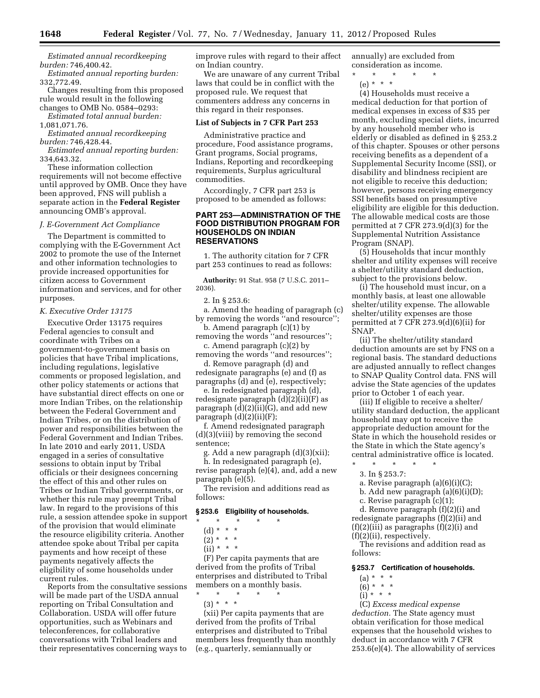*Estimated annual recordkeeping burden:* 746,400.42.

*Estimated annual reporting burden:*  332,772.49.

Changes resulting from this proposed rule would result in the following changes to OMB No. 0584–0293:

*Estimated total annual burden:* 

1,081,071.76.

*Estimated annual recordkeeping burden:* 746,428.44.

*Estimated annual reporting burden:*  334,643.32.

These information collection requirements will not become effective until approved by OMB. Once they have been approved, FNS will publish a separate action in the **Federal Register**  announcing OMB's approval.

#### *J. E-Government Act Compliance*

The Department is committed to complying with the E-Government Act 2002 to promote the use of the Internet and other information technologies to provide increased opportunities for citizen access to Government information and services, and for other purposes.

#### *K. Executive Order 13175*

Executive Order 13175 requires Federal agencies to consult and coordinate with Tribes on a government-to-government basis on policies that have Tribal implications, including regulations, legislative comments or proposed legislation, and other policy statements or actions that have substantial direct effects on one or more Indian Tribes, on the relationship between the Federal Government and Indian Tribes, or on the distribution of power and responsibilities between the Federal Government and Indian Tribes. In late 2010 and early 2011, USDA engaged in a series of consultative sessions to obtain input by Tribal officials or their designees concerning the effect of this and other rules on Tribes or Indian Tribal governments, or whether this rule may preempt Tribal law. In regard to the provisions of this rule, a session attendee spoke in support of the provision that would eliminate the resource eligibility criteria. Another attendee spoke about Tribal per capita payments and how receipt of these payments negatively affects the eligibility of some households under current rules.

Reports from the consultative sessions will be made part of the USDA annual reporting on Tribal Consultation and Collaboration. USDA will offer future opportunities, such as Webinars and teleconferences, for collaborative conversations with Tribal leaders and their representatives concerning ways to

improve rules with regard to their affect on Indian country.

We are unaware of any current Tribal laws that could be in conflict with the proposed rule. We request that commenters address any concerns in this regard in their responses.

#### **List of Subjects in 7 CFR Part 253**

Administrative practice and procedure, Food assistance programs, Grant programs, Social programs, Indians, Reporting and recordkeeping requirements, Surplus agricultural commodities.

Accordingly, 7 CFR part 253 is proposed to be amended as follows:

#### **PART 253—ADMINISTRATION OF THE FOOD DISTRIBUTION PROGRAM FOR HOUSEHOLDS ON INDIAN RESERVATIONS**

1. The authority citation for 7 CFR part 253 continues to read as follows:

**Authority:** 91 Stat. 958 (7 U.S.C. 2011– 2036).

2. In § 253.6:

a. Amend the heading of paragraph (c) by removing the words ''and resource''; b. Amend paragraph (c)(1) by

removing the words ''and resources'';

c. Amend paragraph (c)(2) by removing the words ''and resources'';

d. Remove paragraph (d) and redesignate paragraphs (e) and (f) as paragraphs (d) and (e), respectively;

e. In redesignated paragraph (d), redesignate paragraph (d)(2)(ii)(F) as paragraph  $(d)(2)(ii)(G)$ , and add new  $param<sub>p</sub>(d)(2)(ii)(F);$ 

f. Amend redesignated paragraph (d)(3)(viii) by removing the second sentence;

g. Add a new paragraph (d)(3)(xii); h. In redesignated paragraph (e), revise paragraph (e)(4), and, add a new paragraph (e)(5).

The revision and additions read as follows:

#### **§ 253.6 Eligibility of households.**

- $\star$   $\qquad$   $\star$   $\qquad$   $\star$
- $(d) * * * *$
- $(2) * * * *$
- $(ii) * * * *$

(F) Per capita payments that are derived from the profits of Tribal enterprises and distributed to Tribal members on a monthly basis.

\* \* \* \* \*  $(3) * * * *$ 

(xii) Per capita payments that are derived from the profits of Tribal enterprises and distributed to Tribal members less frequently than monthly (e.g., quarterly, semiannually or

annually) are excluded from consideration as income.

\* \* \* \* \* (e) \* \* \*

(4) Households must receive a medical deduction for that portion of medical expenses in excess of \$35 per month, excluding special diets, incurred by any household member who is elderly or disabled as defined in § 253.2 of this chapter. Spouses or other persons receiving benefits as a dependent of a Supplemental Security Income (SSI), or disability and blindness recipient are not eligible to receive this deduction; however, persons receiving emergency SSI benefits based on presumptive eligibility are eligible for this deduction. The allowable medical costs are those permitted at 7 CFR 273.9(d)(3) for the Supplemental Nutrition Assistance Program (SNAP).

(5) Households that incur monthly shelter and utility expenses will receive a shelter/utility standard deduction, subject to the provisions below.

(i) The household must incur, on a monthly basis, at least one allowable shelter/utility expense. The allowable shelter/utility expenses are those permitted at 7 CFR 273.9(d)(6)(ii) for SNAP.

(ii) The shelter/utility standard deduction amounts are set by FNS on a regional basis. The standard deductions are adjusted annually to reflect changes to SNAP Quality Control data. FNS will advise the State agencies of the updates prior to October 1 of each year.

(iii) If eligible to receive a shelter/ utility standard deduction, the applicant household may opt to receive the appropriate deduction amount for the State in which the household resides or the State in which the State agency's central administrative office is located.

- \* \* \* \* \* 3. In § 253.7:
	- a. Revise paragraph (a)(6)(i)(C);

b. Add new paragraph (a)(6)(i)(D);

- c. Revise paragraph (c)(1);
- 

d. Remove paragraph (f)(2)(i) and redesignate paragraphs (f)(2)(ii) and  $(f)(2)(iii)$  as paragraphs  $(f)(2)(i)$  and (f)(2)(ii), respectively.

The revisions and addition read as follows:

#### **§ 253.7 Certification of households.**

- (a) \* \* \*
- $(6) * * * *$  $(i) * * * *$
- 

(C) *Excess medical expense deduction.* The State agency must obtain verification for those medical expenses that the household wishes to deduct in accordance with 7 CFR 253.6(e)(4). The allowability of services